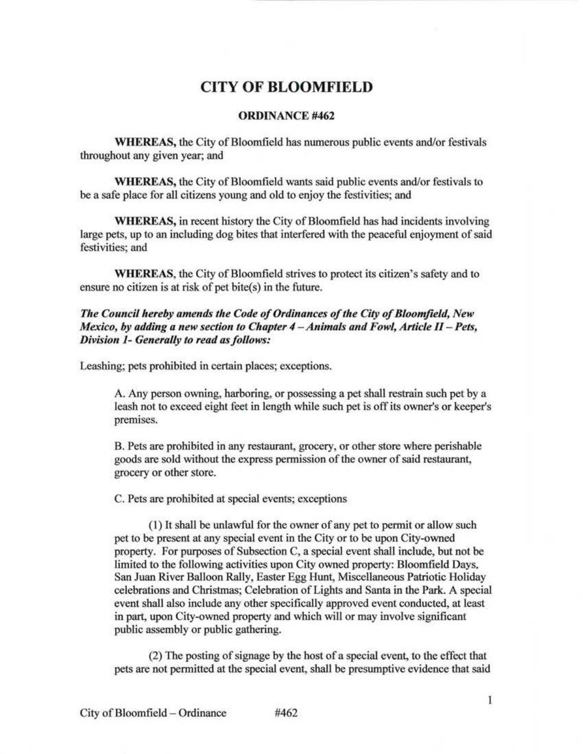## **CITY OF BLOOMFIELD**

## ORDINANCE #462

WHEREAS, the City of Bloomfield has numerous public events and/or festivals throughout any given year; and

WHEREAS, the City of Bloomfield wants said public events and/or festivals to be a safe place for all citizens young and old to enjoy the festivities; and

WHEREAS, in recent history the City of Bloomfield has had incidents involving large pets, up to an including dog bites that interfered with the peaceful enjoyment of said festivities; and

WHEREAS, the City of Bloomfield strives to protect its citizen's safety and to ensure no citizen is at risk of pet bite(s) in the future.

*The Council hereby amends the Code of Ordinances of the City of Bloomfield, New Mexico, by adding a new section to Chapter 4 - Animals and Fowl, Article II - Pets, Division 1- Generally to read as follows:* 

Leashing; pets prohibited in certain places; exceptions.

A. Any person owning, harboring, or possessing a pet shall restrain such pet by a leash not to exceed eight feet in length while such pet is off its owner's or keeper's premises.

B. Pets are prohibited in any restaurant, grocery, or other store where perishable goods are sold without the express permission of the owner of said restaurant, grocery or other store.

C. Pets are prohibited at special events; exceptions

(I) It shall be unlawful for the owner of any pet to permit or allow such pet to be present at any special event in the City or to be upon City-owned property. For purposes of Subsection C, a special event shall include, but not be limited to the following activities upon City owned property: Bloomfield Days, San Juan River Balloon Rally, Easter Egg Hunt, Miscellaneous Patriotic Holiday celebrations and Christmas; Celebration of Lights and Santa in the Park. A special event shall also include any other specifically approved event conducted, at least in part, upon City-owned property and which will or may involve significant public assembly or public gathering.

(2) The posting of signage by the host of a special event, to the effect that pets are not permitted at the special event, shall be presumptive evidence that said

Ŧ